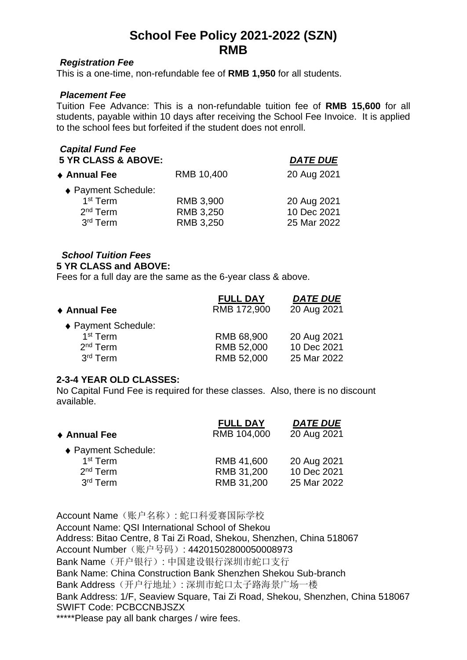# **School Fee Policy 2021-2022 (SZN) RMB**

### *Registration Fee*

This is a one-time, non-refundable fee of **RMB 1,950** for all students.

### *Placement Fee*

Tuition Fee Advance: This is a non-refundable tuition fee of **RMB 15,600** for all students, payable within 10 days after receiving the School Fee Invoice. It is applied to the school fees but forfeited if the student does not enroll.

| <b>Capital Fund Fee</b><br><b>5 YR CLASS &amp; ABOVE:</b>                                   |                                     | <b>DATE DUE</b>                           |
|---------------------------------------------------------------------------------------------|-------------------------------------|-------------------------------------------|
| ◆ Annual Fee                                                                                | RMB 10,400                          | 20 Aug 2021                               |
| ◆ Payment Schedule:<br>1 <sup>st</sup> Term<br>2 <sup>nd</sup> Term<br>3 <sup>rd</sup> Term | RMB 3,900<br>RMB 3,250<br>RMB 3,250 | 20 Aug 2021<br>10 Dec 2021<br>25 Mar 2022 |

### *School Tuition Fees*

#### **5 YR CLASS and ABOVE:**

Fees for a full day are the same as the 6-year class & above.

|                      | <b>FULL DAY</b> | <b>DATE DUE</b> |
|----------------------|-----------------|-----------------|
| ◆ Annual Fee         | RMB 172,900     | 20 Aug 2021     |
| ♦ Payment Schedule:  |                 |                 |
| 1 <sup>st</sup> Term | RMB 68,900      | 20 Aug 2021     |
| $2nd$ Term           | RMB 52,000      | 10 Dec 2021     |
| 3 <sup>rd</sup> Term | RMB 52,000      | 25 Mar 2022     |

### **2-3-4 YEAR OLD CLASSES:**

No Capital Fund Fee is required for these classes. Also, there is no discount available.

| <b>FULL DAY</b> | <b>DATE DUE</b> |
|-----------------|-----------------|
| RMB 104,000     | 20 Aug 2021     |
|                 |                 |
| RMB 41,600      | 20 Aug 2021     |
| RMB 31,200      | 10 Dec 2021     |
| RMB 31,200      | 25 Mar 2022     |
|                 |                 |

Account Name(账户名称): 蛇口科爱赛国际学校 Account Name: QSI International School of Shekou Address: Bitao Centre, 8 Tai Zi Road, Shekou, Shenzhen, China 518067 Account Number (账户号码): 44201502800050008973 Bank Name(开户银行): 中国建设银行深圳市蛇口支行 Bank Name: China Construction Bank Shenzhen Shekou Sub-branch Bank Address(开户行地址): 深圳市蛇口太子路海景广场一楼 Bank Address: 1/F, Seaview Square, Tai Zi Road, Shekou, Shenzhen, China 518067 SWIFT Code: PCBCCNBJSZX \*\*\*\*\*Please pay all bank charges / wire fees.